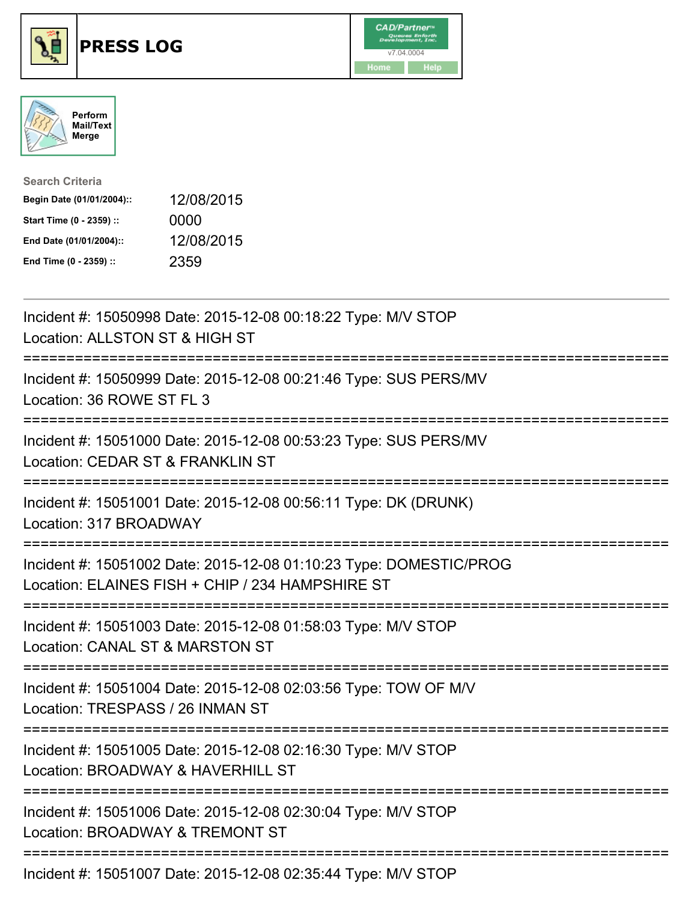





| <b>Search Criteria</b>    |            |
|---------------------------|------------|
| Begin Date (01/01/2004):: | 12/08/2015 |
| Start Time (0 - 2359) ::  | 0000       |
| End Date (01/01/2004)::   | 12/08/2015 |
| End Time (0 - 2359) ::    | 2359       |

| Incident #: 15050998 Date: 2015-12-08 00:18:22 Type: M/V STOP<br>Location: ALLSTON ST & HIGH ST                                                   |
|---------------------------------------------------------------------------------------------------------------------------------------------------|
| Incident #: 15050999 Date: 2015-12-08 00:21:46 Type: SUS PERS/MV<br>Location: 36 ROWE ST FL 3                                                     |
| Incident #: 15051000 Date: 2015-12-08 00:53:23 Type: SUS PERS/MV<br>Location: CEDAR ST & FRANKLIN ST                                              |
| Incident #: 15051001 Date: 2015-12-08 00:56:11 Type: DK (DRUNK)<br>Location: 317 BROADWAY                                                         |
| Incident #: 15051002 Date: 2015-12-08 01:10:23 Type: DOMESTIC/PROG<br>Location: ELAINES FISH + CHIP / 234 HAMPSHIRE ST<br>----------------------- |
| Incident #: 15051003 Date: 2015-12-08 01:58:03 Type: M/V STOP<br>Location: CANAL ST & MARSTON ST                                                  |
| ===================<br>Incident #: 15051004 Date: 2015-12-08 02:03:56 Type: TOW OF M/V<br>Location: TRESPASS / 26 INMAN ST                        |
| ------------------------<br>Incident #: 15051005 Date: 2015-12-08 02:16:30 Type: M/V STOP<br>Location: BROADWAY & HAVERHILL ST                    |
| =========================<br>Incident #: 15051006 Date: 2015-12-08 02:30:04 Type: M/V STOP<br>Location: BROADWAY & TREMONT ST                     |
| Incident #: 15051007 Date: 2015-12-08 02:35:44 Type: M/V STOP                                                                                     |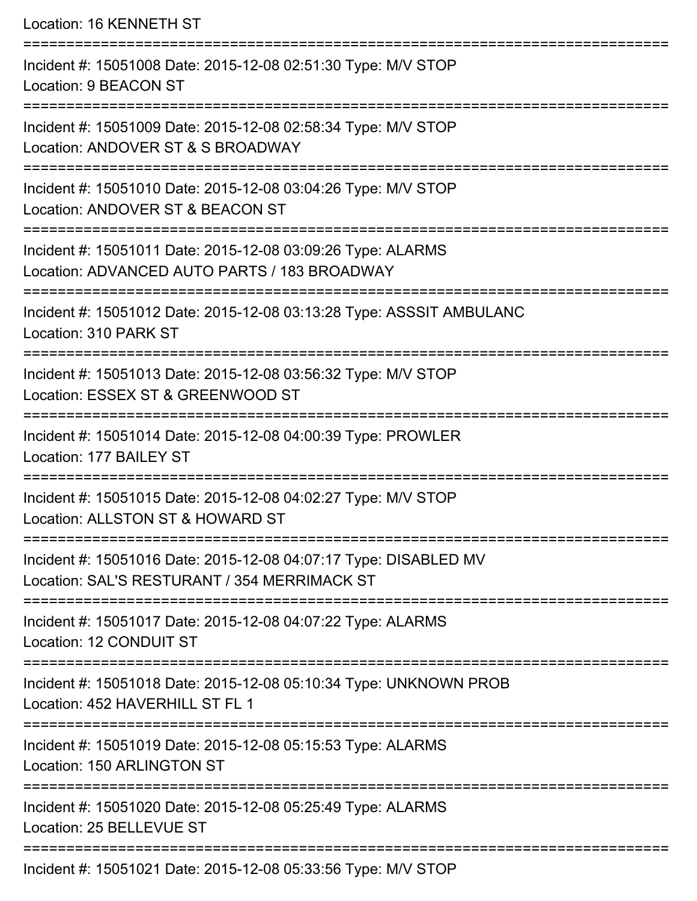Location: 16 KENNETH ST

| Incident #: 15051008 Date: 2015-12-08 02:51:30 Type: M/V STOP<br><b>Location: 9 BEACON ST</b>                    |
|------------------------------------------------------------------------------------------------------------------|
| Incident #: 15051009 Date: 2015-12-08 02:58:34 Type: M/V STOP<br>Location: ANDOVER ST & S BROADWAY               |
| Incident #: 15051010 Date: 2015-12-08 03:04:26 Type: M/V STOP<br>Location: ANDOVER ST & BEACON ST                |
| Incident #: 15051011 Date: 2015-12-08 03:09:26 Type: ALARMS<br>Location: ADVANCED AUTO PARTS / 183 BROADWAY      |
| Incident #: 15051012 Date: 2015-12-08 03:13:28 Type: ASSSIT AMBULANC<br>Location: 310 PARK ST                    |
| Incident #: 15051013 Date: 2015-12-08 03:56:32 Type: M/V STOP<br>Location: ESSEX ST & GREENWOOD ST               |
| Incident #: 15051014 Date: 2015-12-08 04:00:39 Type: PROWLER<br>Location: 177 BAILEY ST                          |
| Incident #: 15051015 Date: 2015-12-08 04:02:27 Type: M/V STOP<br>Location: ALLSTON ST & HOWARD ST                |
| Incident #: 15051016 Date: 2015-12-08 04:07:17 Type: DISABLED MV<br>Location: SAL'S RESTURANT / 354 MERRIMACK ST |
| Incident #: 15051017 Date: 2015-12-08 04:07:22 Type: ALARMS<br>Location: 12 CONDUIT ST                           |
| Incident #: 15051018 Date: 2015-12-08 05:10:34 Type: UNKNOWN PROB<br>Location: 452 HAVERHILL ST FL 1             |
| Incident #: 15051019 Date: 2015-12-08 05:15:53 Type: ALARMS<br>Location: 150 ARLINGTON ST                        |
| Incident #: 15051020 Date: 2015-12-08 05:25:49 Type: ALARMS<br>Location: 25 BELLEVUE ST                          |
| Incident #: 15051021 Date: 2015-12-08 05:33:56 Type: M/V STOP                                                    |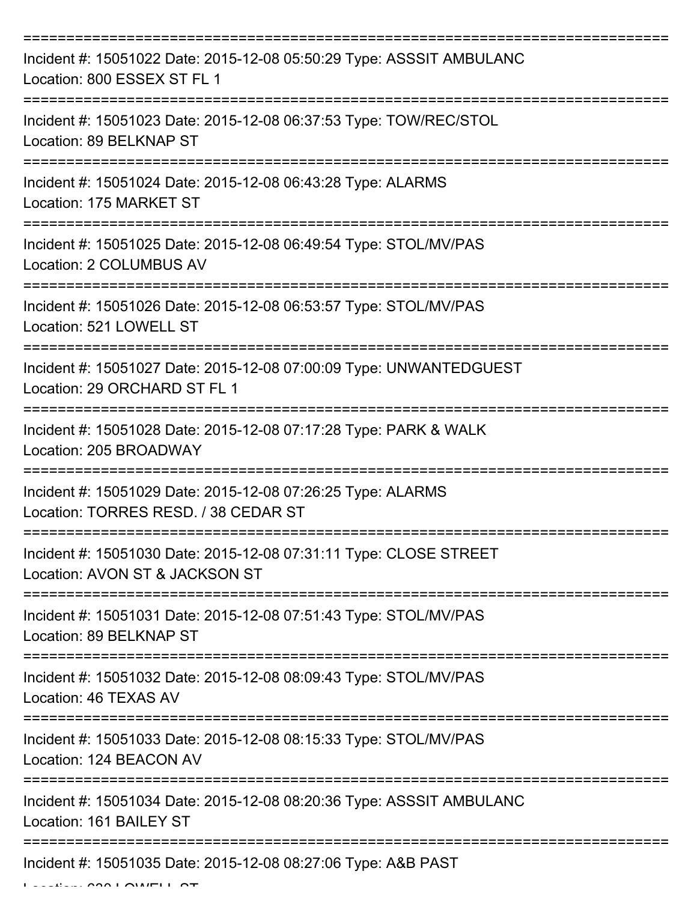| Incident #: 15051022 Date: 2015-12-08 05:50:29 Type: ASSSIT AMBULANC<br>Location: 800 ESSEX ST FL 1 |
|-----------------------------------------------------------------------------------------------------|
| Incident #: 15051023 Date: 2015-12-08 06:37:53 Type: TOW/REC/STOL<br>Location: 89 BELKNAP ST        |
| Incident #: 15051024 Date: 2015-12-08 06:43:28 Type: ALARMS<br>Location: 175 MARKET ST              |
| Incident #: 15051025 Date: 2015-12-08 06:49:54 Type: STOL/MV/PAS<br>Location: 2 COLUMBUS AV         |
| Incident #: 15051026 Date: 2015-12-08 06:53:57 Type: STOL/MV/PAS<br>Location: 521 LOWELL ST         |
| Incident #: 15051027 Date: 2015-12-08 07:00:09 Type: UNWANTEDGUEST<br>Location: 29 ORCHARD ST FL 1  |
| Incident #: 15051028 Date: 2015-12-08 07:17:28 Type: PARK & WALK<br>Location: 205 BROADWAY          |
| Incident #: 15051029 Date: 2015-12-08 07:26:25 Type: ALARMS<br>Location: TORRES RESD. / 38 CEDAR ST |
| Incident #: 15051030 Date: 2015-12-08 07:31:11 Type: CLOSE STREET<br>Location: AVON ST & JACKSON ST |
| Incident #: 15051031 Date: 2015-12-08 07:51:43 Type: STOL/MV/PAS<br>Location: 89 BELKNAP ST         |
| Incident #: 15051032 Date: 2015-12-08 08:09:43 Type: STOL/MV/PAS<br>Location: 46 TEXAS AV           |
| Incident #: 15051033 Date: 2015-12-08 08:15:33 Type: STOL/MV/PAS<br>Location: 124 BEACON AV         |
| Incident #: 15051034 Date: 2015-12-08 08:20:36 Type: ASSSIT AMBULANC<br>Location: 161 BAILEY ST     |
| Incident #: 15051035 Date: 2015-12-08 08:27:06 Type: A&B PAST                                       |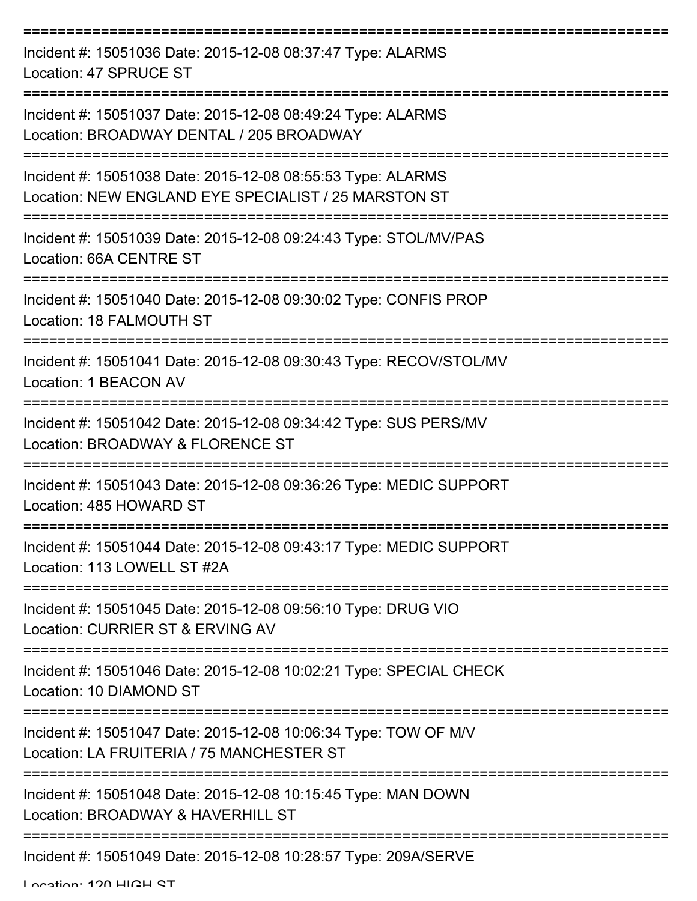| Incident #: 15051036 Date: 2015-12-08 08:37:47 Type: ALARMS<br>Location: 47 SPRUCE ST                               |
|---------------------------------------------------------------------------------------------------------------------|
| Incident #: 15051037 Date: 2015-12-08 08:49:24 Type: ALARMS<br>Location: BROADWAY DENTAL / 205 BROADWAY             |
| Incident #: 15051038 Date: 2015-12-08 08:55:53 Type: ALARMS<br>Location: NEW ENGLAND EYE SPECIALIST / 25 MARSTON ST |
| Incident #: 15051039 Date: 2015-12-08 09:24:43 Type: STOL/MV/PAS<br>Location: 66A CENTRE ST                         |
| Incident #: 15051040 Date: 2015-12-08 09:30:02 Type: CONFIS PROP<br>Location: 18 FALMOUTH ST                        |
| Incident #: 15051041 Date: 2015-12-08 09:30:43 Type: RECOV/STOL/MV<br>Location: 1 BEACON AV                         |
| Incident #: 15051042 Date: 2015-12-08 09:34:42 Type: SUS PERS/MV<br>Location: BROADWAY & FLORENCE ST                |
| Incident #: 15051043 Date: 2015-12-08 09:36:26 Type: MEDIC SUPPORT<br>Location: 485 HOWARD ST                       |
| Incident #: 15051044 Date: 2015-12-08 09:43:17 Type: MEDIC SUPPORT<br>Location: 113 LOWELL ST #2A                   |
| Incident #: 15051045 Date: 2015-12-08 09:56:10 Type: DRUG VIO<br>Location: CURRIER ST & ERVING AV                   |
| Incident #: 15051046 Date: 2015-12-08 10:02:21 Type: SPECIAL CHECK<br>Location: 10 DIAMOND ST                       |
| Incident #: 15051047 Date: 2015-12-08 10:06:34 Type: TOW OF M/V<br>Location: LA FRUITERIA / 75 MANCHESTER ST        |
| Incident #: 15051048 Date: 2015-12-08 10:15:45 Type: MAN DOWN<br>Location: BROADWAY & HAVERHILL ST                  |
| ---------------------------------<br>Incident #: 15051049 Date: 2015-12-08 10:28:57 Type: 209A/SERVE                |

Location: 120 HIGH ST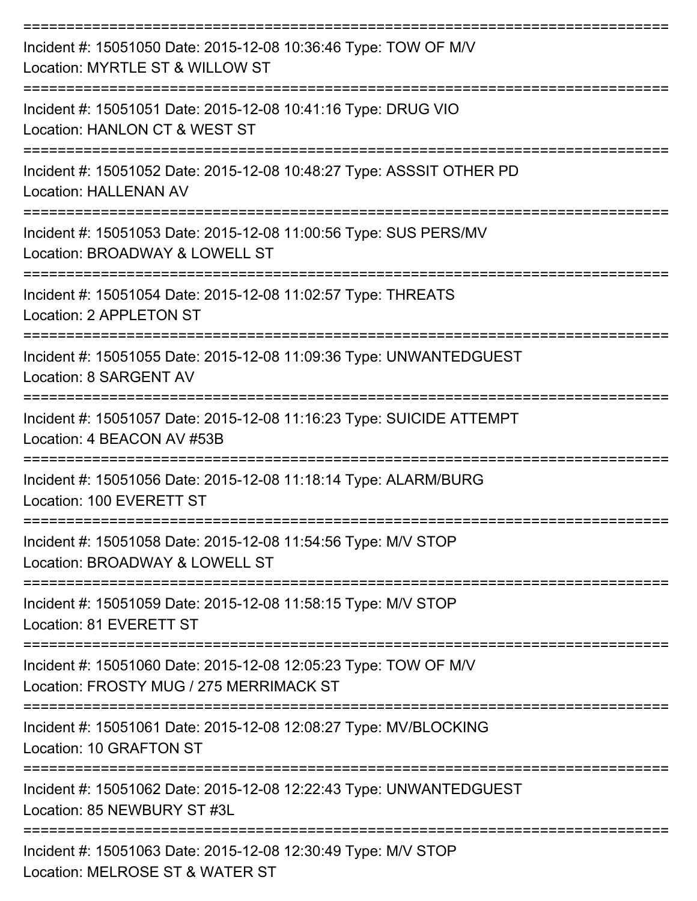| Incident #: 15051050 Date: 2015-12-08 10:36:46 Type: TOW OF M/V<br>Location: MYRTLE ST & WILLOW ST         |
|------------------------------------------------------------------------------------------------------------|
| Incident #: 15051051 Date: 2015-12-08 10:41:16 Type: DRUG VIO<br>Location: HANLON CT & WEST ST             |
| Incident #: 15051052 Date: 2015-12-08 10:48:27 Type: ASSSIT OTHER PD<br><b>Location: HALLENAN AV</b>       |
| Incident #: 15051053 Date: 2015-12-08 11:00:56 Type: SUS PERS/MV<br>Location: BROADWAY & LOWELL ST         |
| Incident #: 15051054 Date: 2015-12-08 11:02:57 Type: THREATS<br>Location: 2 APPLETON ST                    |
| Incident #: 15051055 Date: 2015-12-08 11:09:36 Type: UNWANTEDGUEST<br>Location: 8 SARGENT AV               |
| Incident #: 15051057 Date: 2015-12-08 11:16:23 Type: SUICIDE ATTEMPT<br>Location: 4 BEACON AV #53B         |
| Incident #: 15051056 Date: 2015-12-08 11:18:14 Type: ALARM/BURG<br>Location: 100 EVERETT ST                |
| Incident #: 15051058 Date: 2015-12-08 11:54:56 Type: M/V STOP<br>Location: BROADWAY & LOWELL ST            |
| Incident #: 15051059 Date: 2015-12-08 11:58:15 Type: M/V STOP<br>Location: 81 EVERETT ST                   |
| Incident #: 15051060 Date: 2015-12-08 12:05:23 Type: TOW OF M/V<br>Location: FROSTY MUG / 275 MERRIMACK ST |
| Incident #: 15051061 Date: 2015-12-08 12:08:27 Type: MV/BLOCKING<br>Location: 10 GRAFTON ST                |
| Incident #: 15051062 Date: 2015-12-08 12:22:43 Type: UNWANTEDGUEST<br>Location: 85 NEWBURY ST #3L          |
| Incident #: 15051063 Date: 2015-12-08 12:30:49 Type: M/V STOP<br>Location: MELROSE ST & WATER ST           |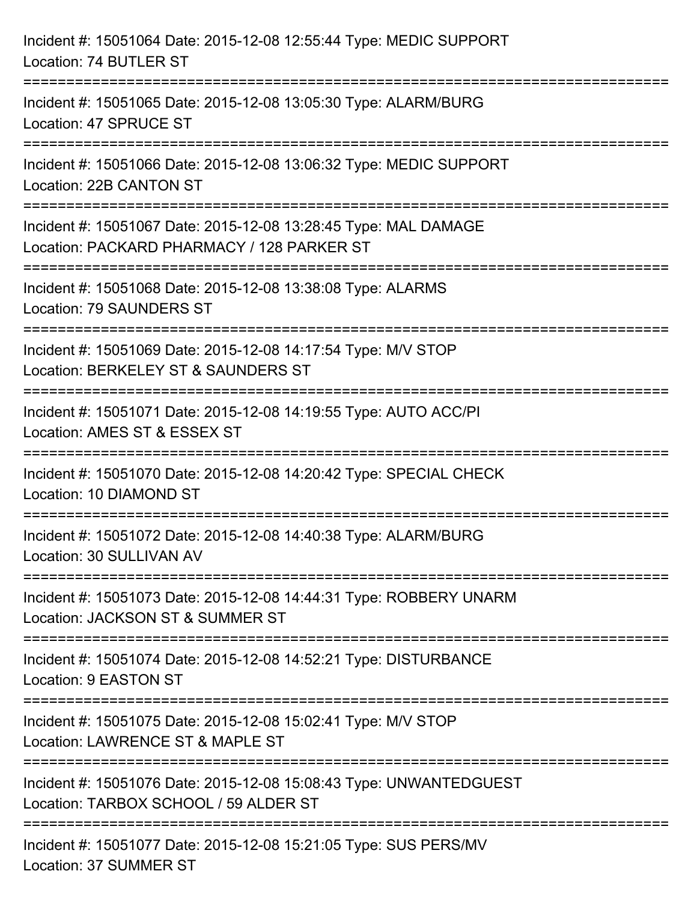| Incident #: 15051064 Date: 2015-12-08 12:55:44 Type: MEDIC SUPPORT<br>Location: 74 BUTLER ST                                      |
|-----------------------------------------------------------------------------------------------------------------------------------|
| Incident #: 15051065 Date: 2015-12-08 13:05:30 Type: ALARM/BURG<br>Location: 47 SPRUCE ST                                         |
| Incident #: 15051066 Date: 2015-12-08 13:06:32 Type: MEDIC SUPPORT<br>Location: 22B CANTON ST                                     |
| Incident #: 15051067 Date: 2015-12-08 13:28:45 Type: MAL DAMAGE<br>Location: PACKARD PHARMACY / 128 PARKER ST                     |
| Incident #: 15051068 Date: 2015-12-08 13:38:08 Type: ALARMS<br><b>Location: 79 SAUNDERS ST</b><br>=============================== |
| Incident #: 15051069 Date: 2015-12-08 14:17:54 Type: M/V STOP<br>Location: BERKELEY ST & SAUNDERS ST                              |
| Incident #: 15051071 Date: 2015-12-08 14:19:55 Type: AUTO ACC/PI<br>Location: AMES ST & ESSEX ST                                  |
| ==================<br>Incident #: 15051070 Date: 2015-12-08 14:20:42 Type: SPECIAL CHECK<br>Location: 10 DIAMOND ST               |
| Incident #: 15051072 Date: 2015-12-08 14:40:38 Type: ALARM/BURG<br>Location: 30 SULLIVAN AV                                       |
| Incident #: 15051073 Date: 2015-12-08 14:44:31 Type: ROBBERY UNARM<br>Location: JACKSON ST & SUMMER ST                            |
| Incident #: 15051074 Date: 2015-12-08 14:52:21 Type: DISTURBANCE<br>Location: 9 EASTON ST                                         |
| Incident #: 15051075 Date: 2015-12-08 15:02:41 Type: M/V STOP<br>Location: LAWRENCE ST & MAPLE ST                                 |
| Incident #: 15051076 Date: 2015-12-08 15:08:43 Type: UNWANTEDGUEST<br>Location: TARBOX SCHOOL / 59 ALDER ST                       |
| Incident #: 15051077 Date: 2015-12-08 15:21:05 Type: SUS PERS/MV<br>Location: 37 SUMMER ST                                        |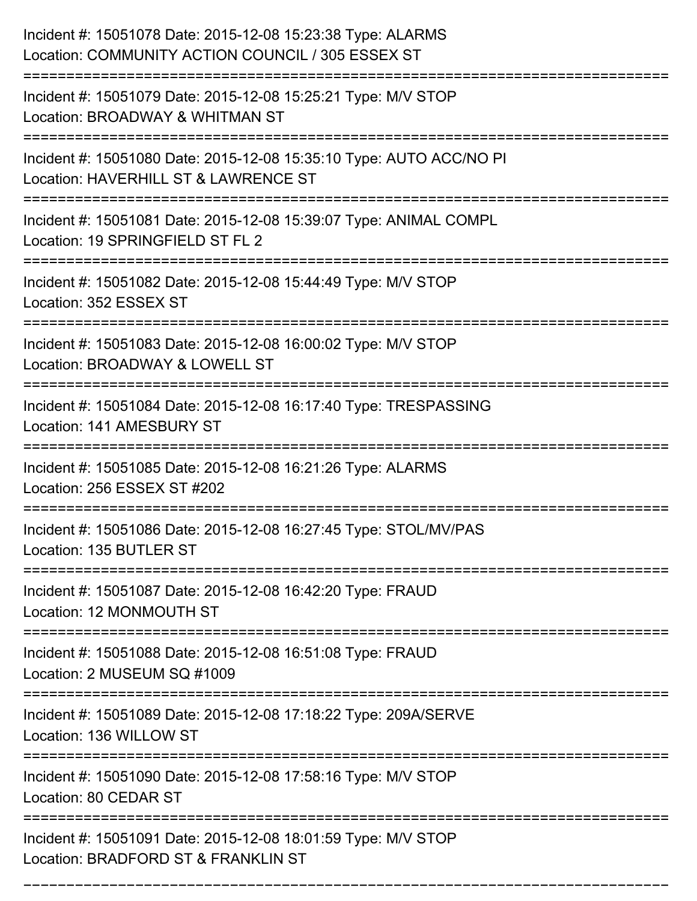| Incident #: 15051078 Date: 2015-12-08 15:23:38 Type: ALARMS<br>Location: COMMUNITY ACTION COUNCIL / 305 ESSEX ST<br>:===================== |
|--------------------------------------------------------------------------------------------------------------------------------------------|
| Incident #: 15051079 Date: 2015-12-08 15:25:21 Type: M/V STOP<br>Location: BROADWAY & WHITMAN ST                                           |
| Incident #: 15051080 Date: 2015-12-08 15:35:10 Type: AUTO ACC/NO PI<br>Location: HAVERHILL ST & LAWRENCE ST<br>:=========================  |
| Incident #: 15051081 Date: 2015-12-08 15:39:07 Type: ANIMAL COMPL<br>Location: 19 SPRINGFIELD ST FL 2                                      |
| Incident #: 15051082 Date: 2015-12-08 15:44:49 Type: M/V STOP<br>Location: 352 ESSEX ST                                                    |
| Incident #: 15051083 Date: 2015-12-08 16:00:02 Type: M/V STOP<br>Location: BROADWAY & LOWELL ST                                            |
| Incident #: 15051084 Date: 2015-12-08 16:17:40 Type: TRESPASSING<br>Location: 141 AMESBURY ST<br>=================                         |
| Incident #: 15051085 Date: 2015-12-08 16:21:26 Type: ALARMS<br>Location: 256 ESSEX ST #202                                                 |
| Incident #: 15051086 Date: 2015-12-08 16:27:45 Type: STOL/MV/PAS<br>Location: 135 BUTLER ST                                                |
| Incident #: 15051087 Date: 2015-12-08 16:42:20 Type: FRAUD<br>Location: 12 MONMOUTH ST                                                     |
| Incident #: 15051088 Date: 2015-12-08 16:51:08 Type: FRAUD<br>Location: 2 MUSEUM SQ #1009                                                  |
| Incident #: 15051089 Date: 2015-12-08 17:18:22 Type: 209A/SERVE<br>Location: 136 WILLOW ST                                                 |
| Incident #: 15051090 Date: 2015-12-08 17:58:16 Type: M/V STOP<br>Location: 80 CEDAR ST                                                     |
| Incident #: 15051091 Date: 2015-12-08 18:01:59 Type: M/V STOP<br>Location: BRADFORD ST & FRANKLIN ST                                       |

===========================================================================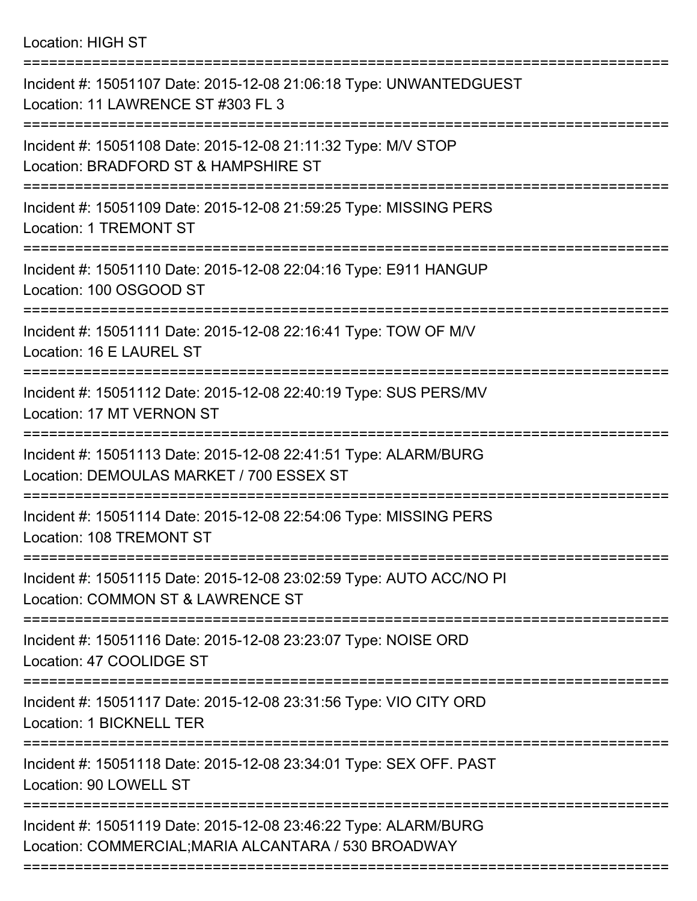Location: HIGH ST

| Incident #: 15051107 Date: 2015-12-08 21:06:18 Type: UNWANTEDGUEST<br>Location: 11 LAWRENCE ST #303 FL 3                |
|-------------------------------------------------------------------------------------------------------------------------|
| Incident #: 15051108 Date: 2015-12-08 21:11:32 Type: M/V STOP<br>Location: BRADFORD ST & HAMPSHIRE ST                   |
| Incident #: 15051109 Date: 2015-12-08 21:59:25 Type: MISSING PERS<br><b>Location: 1 TREMONT ST</b>                      |
| Incident #: 15051110 Date: 2015-12-08 22:04:16 Type: E911 HANGUP<br>Location: 100 OSGOOD ST                             |
| Incident #: 15051111 Date: 2015-12-08 22:16:41 Type: TOW OF M/V<br>Location: 16 E LAUREL ST                             |
| Incident #: 15051112 Date: 2015-12-08 22:40:19 Type: SUS PERS/MV<br>Location: 17 MT VERNON ST                           |
| Incident #: 15051113 Date: 2015-12-08 22:41:51 Type: ALARM/BURG<br>Location: DEMOULAS MARKET / 700 ESSEX ST             |
| Incident #: 15051114 Date: 2015-12-08 22:54:06 Type: MISSING PERS<br>Location: 108 TREMONT ST                           |
| Incident #: 15051115 Date: 2015-12-08 23:02:59 Type: AUTO ACC/NO PI<br>Location: COMMON ST & LAWRENCE ST                |
| Incident #: 15051116 Date: 2015-12-08 23:23:07 Type: NOISE ORD<br>Location: 47 COOLIDGE ST                              |
| Incident #: 15051117 Date: 2015-12-08 23:31:56 Type: VIO CITY ORD<br>Location: 1 BICKNELL TER                           |
| Incident #: 15051118 Date: 2015-12-08 23:34:01 Type: SEX OFF. PAST<br>Location: 90 LOWELL ST                            |
| Incident #: 15051119 Date: 2015-12-08 23:46:22 Type: ALARM/BURG<br>Location: COMMERCIAL; MARIA ALCANTARA / 530 BROADWAY |
|                                                                                                                         |